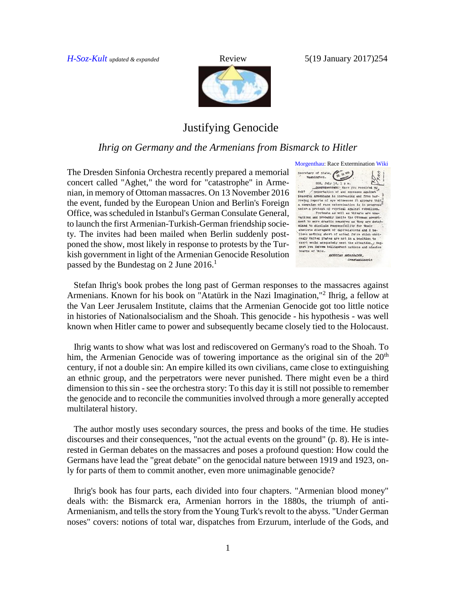*[H-Soz-Kult](http://www.hsozkult.de/publicationreview/id/rezbuecher-25762) updated & expanded* Review 5(19 January 2017)254



## Justifying Genocide

## *Ihrig on Germany and the Armenians from Bismarck to Hitler*

The Dresden Sinfonia Orchestra recently prepared a memorial concert called "Aghet," the word for "catastrophe" in Armenian, in memory of Ottoman massacres. On 13 November 2016 the event, funded by the European Union and Berlin's Foreign Office, was scheduled in Istanbul's German Consulate General, to launch the first Armenian-Turkish-German friendship society. The invites had been mailed when Berlin suddenly postponed the show, most likely in response to protests by the Turkish government in light of the Armenian Genocide Resolution passed by the Bundestag on 2 June  $2016$ <sup>1</sup>



 Stefan Ihrig's book probes the long past of German responses to the massacres against Armenians. Known for his book on "Atatürk in the Nazi Imagination,"<sup>2</sup> Ihrig, a fellow at the Van Leer Jerusalem Institute, claims that the Armenian Genocide got too little notice in histories of Nationalsocialism and the Shoah. This genocide - his hypothesis - was well known when Hitler came to power and subsequently became closely tied to the Holocaust.

 Ihrig wants to show what was lost and rediscovered on Germany's road to the Shoah. To him, the Armenian Genocide was of towering importance as the original sin of the  $20<sup>th</sup>$ century, if not a double sin: An empire killed its own civilians, came close to extinguishing an ethnic group, and the perpetrators were never punished. There might even be a third dimension to this sin - see the orchestra story: To this day it is still not possible to remember the genocide and to reconcile the communities involved through a more generally accepted multilateral history.

 The author mostly uses secondary sources, the press and books of the time. He studies discourses and their consequences, "not the actual events on the ground" (p. 8). He is interested in German debates on the massacres and poses a profound question: How could the Germans have lead the "great debate" on the genocidal nature between 1919 and 1923, only for parts of them to commit another, even more unimaginable genocide?

 Ihrig's book has four parts, each divided into four chapters. "Armenian blood money" deals with: the Bismarck era, Armenian horrors in the 1880s, the triumph of anti-Armenianism, and tells the story from the Young Turk's revolt to the abyss. "Under German noses" covers: notions of total war, dispatches from Erzurum, interlude of the Gods, and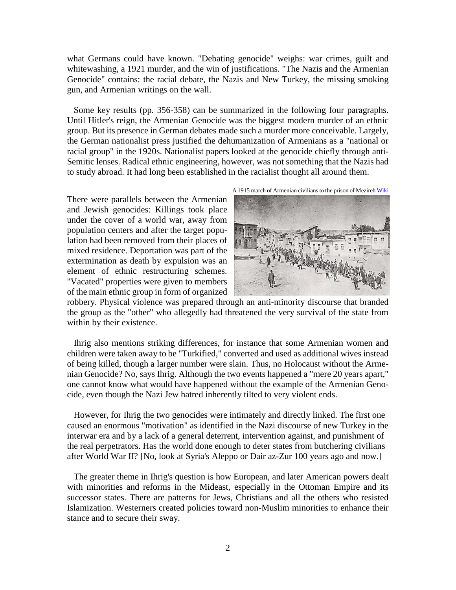what Germans could have known. "Debating genocide" weighs: war crimes, guilt and whitewashing, a 1921 murder, and the win of justifications. "The Nazis and the Armenian Genocide" contains: the racial debate, the Nazis and New Turkey, the missing smoking gun, and Armenian writings on the wall.

 Some key results (pp. 356-358) can be summarized in the following four paragraphs. Until Hitler's reign, the Armenian Genocide was the biggest modern murder of an ethnic group. But its presence in German debates made such a murder more conceivable. Largely, the German nationalist press justified the dehumanization of Armenians as a "national or racial group" in the 1920s. Nationalist papers looked at the genocide chiefly through anti-Semitic lenses. Radical ethnic engineering, however, was not something that the Nazis had to study abroad. It had long been established in the racialist thought all around them.

There were parallels between the Armenian and Jewish genocides: Killings took place under the cover of a world war, away from population centers and after the target population had been removed from their places of mixed residence. Deportation was part of the extermination as death by expulsion was an element of ethnic restructuring schemes. "Vacated" properties were given to members of the main ethnic group in form of organized





robbery. Physical violence was prepared through an anti-minority discourse that branded the group as the "other" who allegedly had threatened the very survival of the state from within by their existence.

 Ihrig also mentions striking differences, for instance that some Armenian women and children were taken away to be "Turkified," converted and used as additional wives instead of being killed, though a larger number were slain. Thus, no Holocaust without the Armenian Genocide? No, says Ihrig. Although the two events happened a "mere 20 years apart," one cannot know what would have happened without the example of the Armenian Genocide, even though the Nazi Jew hatred inherently tilted to very violent ends.

 However, for Ihrig the two genocides were intimately and directly linked. The first one caused an enormous "motivation" as identified in the Nazi discourse of new Turkey in the interwar era and by a lack of a general deterrent, intervention against, and punishment of the real perpetrators. Has the world done enough to deter states from butchering civilians after World War II? [No, look at Syria's Aleppo or Dair az-Zur 100 years ago and now.]

 The greater theme in Ihrig's question is how European, and later American powers dealt with minorities and reforms in the Mideast, especially in the Ottoman Empire and its successor states. There are patterns for Jews, Christians and all the others who resisted Islamization. Westerners created policies toward non-Muslim minorities to enhance their stance and to secure their sway.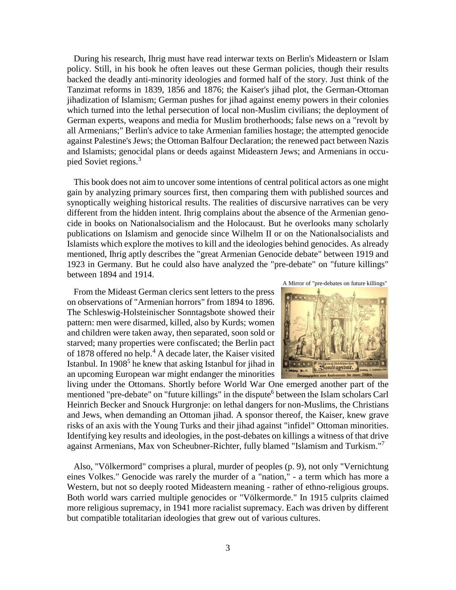During his research, Ihrig must have read interwar texts on Berlin's Mideastern or Islam policy. Still, in his book he often leaves out these German policies, though their results backed the deadly anti-minority ideologies and formed half of the story. Just think of the Tanzimat reforms in 1839, 1856 and 1876; the Kaiser's jihad plot, the German-Ottoman jihadization of Islamism; German pushes for jihad against enemy powers in their colonies which turned into the lethal persecution of local non-Muslim civilians; the deployment of German experts, weapons and media for Muslim brotherhoods; false news on a "revolt by all Armenians;" Berlin's advice to take Armenian families hostage; the attempted genocide against Palestine's Jews; the Ottoman Balfour Declaration; the renewed pact between Nazis and Islamists; genocidal plans or deeds against Mideastern Jews; and Armenians in occupied Soviet regions.<sup>3</sup>

 This book does not aim to uncover some intentions of central political actors as one might gain by analyzing primary sources first, then comparing them with published sources and synoptically weighing historical results. The realities of discursive narratives can be very different from the hidden intent. Ihrig complains about the absence of the Armenian genocide in books on Nationalsocialism and the Holocaust. But he overlooks many scholarly publications on Islamism and genocide since Wilhelm II or on the Nationalsocialists and Islamists which explore the motives to kill and the ideologies behind genocides. As already mentioned, Ihrig aptly describes the "great Armenian Genocide debate" between 1919 and 1923 in Germany. But he could also have analyzed the "pre-debate" on "future killings" between 1894 and 1914.

 From the Mideast German clerics sent letters to the press on observations of "Armenian horrors" from 1894 to 1896. The Schleswig-Holsteinischer Sonntagsbote showed their pattern: men were disarmed, killed, also by Kurds; women and children were taken away, then separated, soon sold or starved; many properties were confiscated; the Berlin pact of 1878 offered no help.<sup>4</sup> A decade later, the Kaiser visited Istanbul. In 1908<sup>5</sup> he knew that asking Istanbul for jihad in an upcoming European war might endanger the minorities





living under the Ottomans. Shortly before World War One emerged another part of the mentioned "pre-debate" on "future killings" in the dispute<sup>6</sup> between the Islam scholars Carl Heinrich Becker and Snouck Hurgronje: on lethal dangers for non-Muslims, the Christians and Jews, when demanding an Ottoman jihad. A sponsor thereof, the Kaiser, knew grave risks of an axis with the Young Turks and their jihad against "infidel" Ottoman minorities. Identifying key results and ideologies, in the post-debates on killings a witness of that drive against Armenians, Max von Scheubner-Richter, fully blamed "Islamism and Turkism." 7

 Also, "Völkermord" comprises a plural, murder of peoples (p. 9), not only "Vernichtung eines Volkes." Genocide was rarely the murder of a "nation," - a term which has more a Western, but not so deeply rooted Mideastern meaning - rather of ethno-religious groups. Both world wars carried multiple genocides or "Völkermorde." In 1915 culprits claimed more religious supremacy, in 1941 more racialist supremacy. Each was driven by different but compatible totalitarian ideologies that grew out of various cultures.